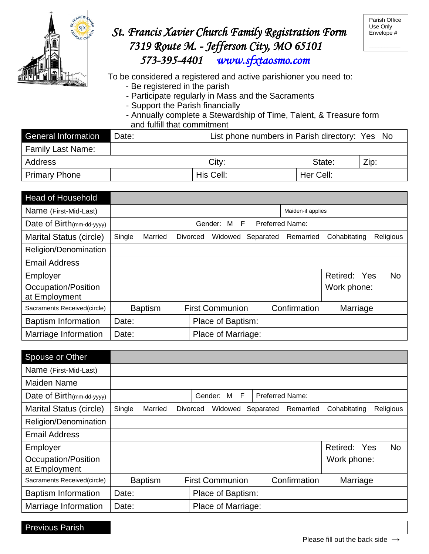

## *St. Francis Xavier Church Family Registration Form 7319 Route M. - Jefferson City, MO 65101 573-395-4401 [www.sfxtaosmo.com](http://www.sfxtaosmo.com/)*

 $\overline{\phantom{a}}$  , where  $\overline{\phantom{a}}$ 

 $\overline{a}$ 

To be considered a registered and active parishioner you need to:

- Be registered in the parish
- Participate regularly in Mass and the Sacraments
- Support the Parish financially
- Annually complete a Stewardship of Time, Talent, & Treasure form and fulfill that commitment

| <b>General Information</b> | l Date: | List phone numbers in Parish directory: Yes No |           |      |  |
|----------------------------|---------|------------------------------------------------|-----------|------|--|
| <b>Family Last Name:</b>   |         |                                                |           |      |  |
| Address                    |         | City:                                          | State:    | Zip: |  |
| <b>Primary Phone</b>       |         | His Cell:                                      | Her Cell: |      |  |

| <b>Head of Household</b>    |        |                |                            |           |                        |              |           |
|-----------------------------|--------|----------------|----------------------------|-----------|------------------------|--------------|-----------|
| Name (First-Mid-Last)       |        |                |                            |           | Maiden-if applies      |              |           |
| Date of Birth(mm-dd-yyyy)   |        |                | - F<br>Gender:<br>M        |           | <b>Preferred Name:</b> |              |           |
| Marital Status (circle)     | Single | Married        | <b>Divorced</b><br>Widowed | Separated | Remarried              | Cohabitating | Religious |
| Religion/Denomination       |        |                |                            |           |                        |              |           |
| <b>Email Address</b>        |        |                |                            |           |                        |              |           |
| Employer                    |        |                |                            |           |                        | Retired: Yes | No        |
| Occupation/Position         |        |                |                            |           |                        | Work phone:  |           |
| at Employment               |        |                |                            |           |                        |              |           |
| Sacraments Received(circle) |        | <b>Baptism</b> | <b>First Communion</b>     |           | Confirmation           | Marriage     |           |
| <b>Baptism Information</b>  | Date:  |                | Place of Baptism:          |           |                        |              |           |
| Marriage Information        | Date:  |                | Place of Marriage:         |           |                        |              |           |

| Spouse or Other                      |        |                |                            |                        |              |              |           |
|--------------------------------------|--------|----------------|----------------------------|------------------------|--------------|--------------|-----------|
| Name (First-Mid-Last)                |        |                |                            |                        |              |              |           |
| <b>Maiden Name</b>                   |        |                |                            |                        |              |              |           |
| Date of Birth(mm-dd-yyyy)            |        |                | Gender:<br>- F<br>M        | <b>Preferred Name:</b> |              |              |           |
| <b>Marital Status (circle)</b>       | Single | Married        | <b>Divorced</b><br>Widowed | Separated              | Remarried    | Cohabitating | Religious |
| Religion/Denomination                |        |                |                            |                        |              |              |           |
| <b>Email Address</b>                 |        |                |                            |                        |              |              |           |
| Employer                             |        |                |                            |                        |              | Retired: Yes | <b>No</b> |
| Occupation/Position<br>at Employment |        |                |                            |                        |              | Work phone:  |           |
| Sacraments Received(circle)          |        | <b>Baptism</b> | <b>First Communion</b>     |                        | Confirmation | Marriage     |           |
| <b>Baptism Information</b>           | Date:  |                | Place of Baptism:          |                        |              |              |           |
| Marriage Information                 | Date:  |                | Place of Marriage:         |                        |              |              |           |

Previous Parish